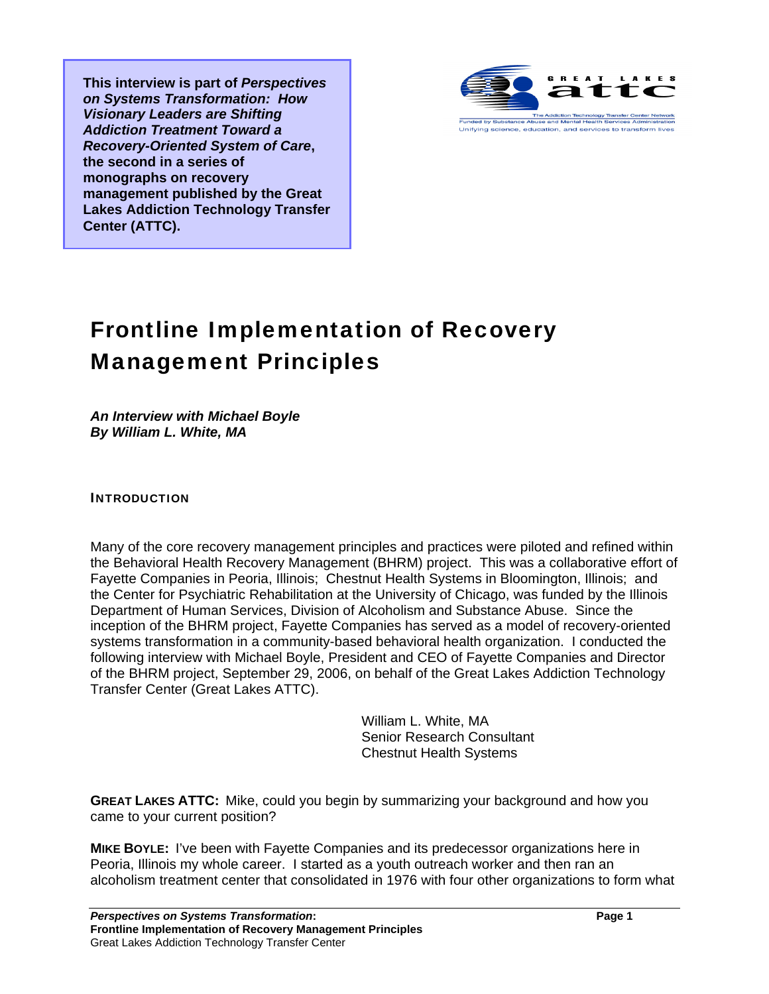**This interview is part of** *Perspectives on Systems Transformation: How Visionary Leaders are Shifting Addiction Treatment Toward a Recovery-Oriented System of Care***, the second in a series of monographs on recovery management published by the Great Lakes Addiction Technology Transfer Center (ATTC).** 



## Frontline Implementation of Recovery Management Principles

*An Interview with Michael Boyle By William L. White, MA* 

INTRODUCTION

Many of the core recovery management principles and practices were piloted and refined within the Behavioral Health Recovery Management (BHRM) project. This was a collaborative effort of Fayette Companies in Peoria, Illinois; Chestnut Health Systems in Bloomington, Illinois; and the Center for Psychiatric Rehabilitation at the University of Chicago, was funded by the Illinois Department of Human Services, Division of Alcoholism and Substance Abuse. Since the inception of the BHRM project, Fayette Companies has served as a model of recovery-oriented systems transformation in a community-based behavioral health organization. I conducted the following interview with Michael Boyle, President and CEO of Fayette Companies and Director of the BHRM project, September 29, 2006, on behalf of the Great Lakes Addiction Technology Transfer Center (Great Lakes ATTC).

> William L. White, MA Senior Research Consultant Chestnut Health Systems

**GREAT LAKES ATTC:** Mike, could you begin by summarizing your background and how you came to your current position?

**MIKE BOYLE:** I've been with Fayette Companies and its predecessor organizations here in Peoria, Illinois my whole career. I started as a youth outreach worker and then ran an alcoholism treatment center that consolidated in 1976 with four other organizations to form what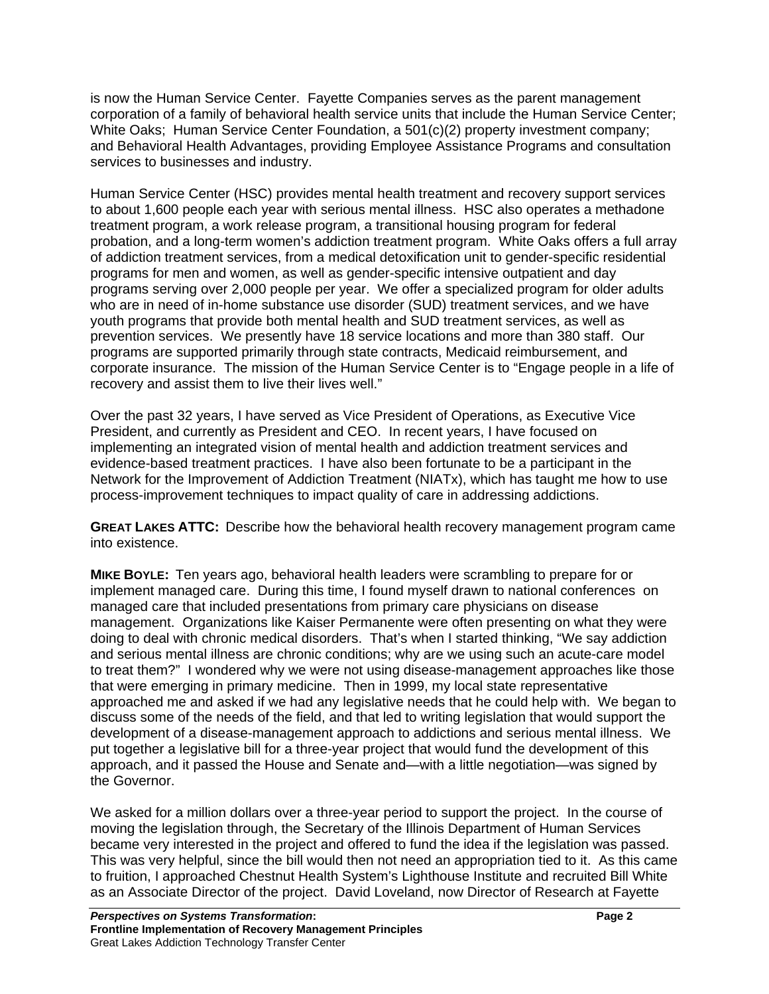is now the Human Service Center. Fayette Companies serves as the parent management corporation of a family of behavioral health service units that include the Human Service Center; White Oaks; Human Service Center Foundation, a 501(c)(2) property investment company; and Behavioral Health Advantages, providing Employee Assistance Programs and consultation services to businesses and industry.

Human Service Center (HSC) provides mental health treatment and recovery support services to about 1,600 people each year with serious mental illness. HSC also operates a methadone treatment program, a work release program, a transitional housing program for federal probation, and a long-term women's addiction treatment program. White Oaks offers a full array of addiction treatment services, from a medical detoxification unit to gender-specific residential programs for men and women, as well as gender-specific intensive outpatient and day programs serving over 2,000 people per year. We offer a specialized program for older adults who are in need of in-home substance use disorder (SUD) treatment services, and we have youth programs that provide both mental health and SUD treatment services, as well as prevention services. We presently have 18 service locations and more than 380 staff. Our programs are supported primarily through state contracts, Medicaid reimbursement, and corporate insurance. The mission of the Human Service Center is to "Engage people in a life of recovery and assist them to live their lives well."

Over the past 32 years, I have served as Vice President of Operations, as Executive Vice President, and currently as President and CEO. In recent years, I have focused on implementing an integrated vision of mental health and addiction treatment services and evidence-based treatment practices. I have also been fortunate to be a participant in the Network for the Improvement of Addiction Treatment (NIATx), which has taught me how to use process-improvement techniques to impact quality of care in addressing addictions.

**GREAT LAKES ATTC:** Describe how the behavioral health recovery management program came into existence.

**MIKE BOYLE:** Ten years ago, behavioral health leaders were scrambling to prepare for or implement managed care. During this time, I found myself drawn to national conferences on managed care that included presentations from primary care physicians on disease management. Organizations like Kaiser Permanente were often presenting on what they were doing to deal with chronic medical disorders. That's when I started thinking, "We say addiction and serious mental illness are chronic conditions; why are we using such an acute-care model to treat them?" I wondered why we were not using disease-management approaches like those that were emerging in primary medicine. Then in 1999, my local state representative approached me and asked if we had any legislative needs that he could help with. We began to discuss some of the needs of the field, and that led to writing legislation that would support the development of a disease-management approach to addictions and serious mental illness. We put together a legislative bill for a three-year project that would fund the development of this approach, and it passed the House and Senate and—with a little negotiation—was signed by the Governor.

We asked for a million dollars over a three-year period to support the project. In the course of moving the legislation through, the Secretary of the Illinois Department of Human Services became very interested in the project and offered to fund the idea if the legislation was passed. This was very helpful, since the bill would then not need an appropriation tied to it. As this came to fruition, I approached Chestnut Health System's Lighthouse Institute and recruited Bill White as an Associate Director of the project. David Loveland, now Director of Research at Fayette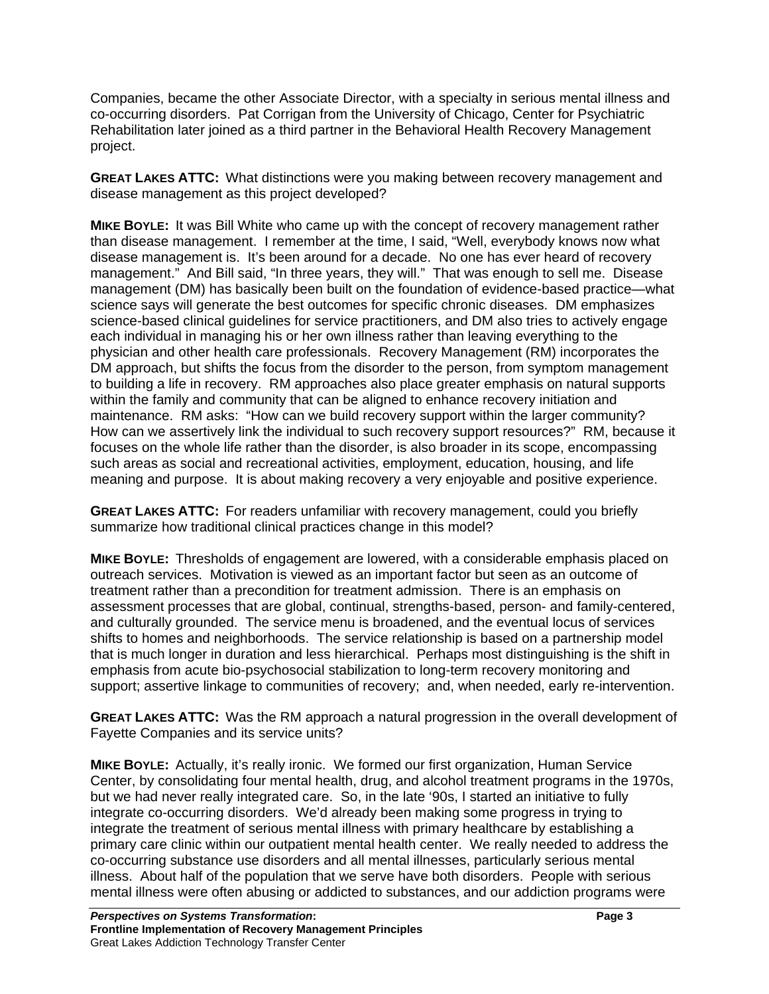Companies, became the other Associate Director, with a specialty in serious mental illness and co-occurring disorders. Pat Corrigan from the University of Chicago, Center for Psychiatric Rehabilitation later joined as a third partner in the Behavioral Health Recovery Management project.

**GREAT LAKES ATTC:** What distinctions were you making between recovery management and disease management as this project developed?

**MIKE BOYLE:** It was Bill White who came up with the concept of recovery management rather than disease management. I remember at the time, I said, "Well, everybody knows now what disease management is. It's been around for a decade. No one has ever heard of recovery management." And Bill said, "In three years, they will." That was enough to sell me. Disease management (DM) has basically been built on the foundation of evidence-based practice—what science says will generate the best outcomes for specific chronic diseases. DM emphasizes science-based clinical guidelines for service practitioners, and DM also tries to actively engage each individual in managing his or her own illness rather than leaving everything to the physician and other health care professionals. Recovery Management (RM) incorporates the DM approach, but shifts the focus from the disorder to the person, from symptom management to building a life in recovery. RM approaches also place greater emphasis on natural supports within the family and community that can be aligned to enhance recovery initiation and maintenance. RM asks: "How can we build recovery support within the larger community? How can we assertively link the individual to such recovery support resources?" RM, because it focuses on the whole life rather than the disorder, is also broader in its scope, encompassing such areas as social and recreational activities, employment, education, housing, and life meaning and purpose. It is about making recovery a very enjoyable and positive experience.

**GREAT LAKES ATTC:** For readers unfamiliar with recovery management, could you briefly summarize how traditional clinical practices change in this model?

**MIKE BOYLE:** Thresholds of engagement are lowered, with a considerable emphasis placed on outreach services. Motivation is viewed as an important factor but seen as an outcome of treatment rather than a precondition for treatment admission. There is an emphasis on assessment processes that are global, continual, strengths-based, person- and family-centered, and culturally grounded. The service menu is broadened, and the eventual locus of services shifts to homes and neighborhoods. The service relationship is based on a partnership model that is much longer in duration and less hierarchical. Perhaps most distinguishing is the shift in emphasis from acute bio-psychosocial stabilization to long-term recovery monitoring and support; assertive linkage to communities of recovery; and, when needed, early re-intervention.

**GREAT LAKES ATTC:** Was the RM approach a natural progression in the overall development of Fayette Companies and its service units?

**MIKE BOYLE:** Actually, it's really ironic. We formed our first organization, Human Service Center, by consolidating four mental health, drug, and alcohol treatment programs in the 1970s, but we had never really integrated care. So, in the late '90s, I started an initiative to fully integrate co-occurring disorders. We'd already been making some progress in trying to integrate the treatment of serious mental illness with primary healthcare by establishing a primary care clinic within our outpatient mental health center. We really needed to address the co-occurring substance use disorders and all mental illnesses, particularly serious mental illness. About half of the population that we serve have both disorders. People with serious mental illness were often abusing or addicted to substances, and our addiction programs were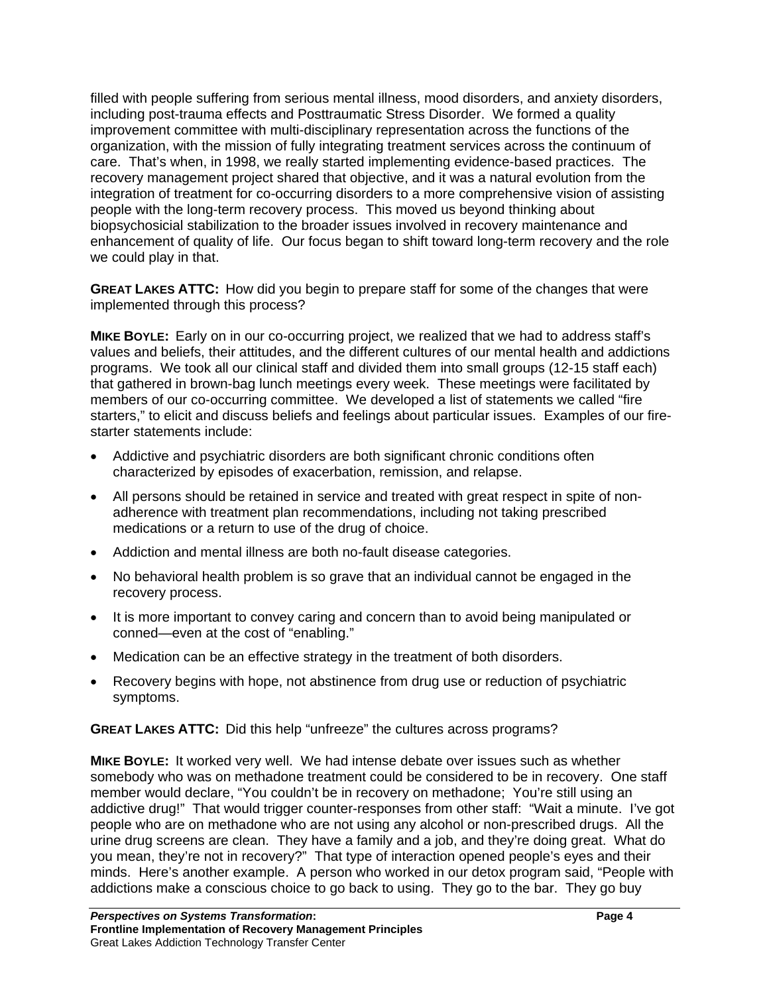filled with people suffering from serious mental illness, mood disorders, and anxiety disorders, including post-trauma effects and Posttraumatic Stress Disorder. We formed a quality improvement committee with multi-disciplinary representation across the functions of the organization, with the mission of fully integrating treatment services across the continuum of care. That's when, in 1998, we really started implementing evidence-based practices. The recovery management project shared that objective, and it was a natural evolution from the integration of treatment for co-occurring disorders to a more comprehensive vision of assisting people with the long-term recovery process. This moved us beyond thinking about biopsychosicial stabilization to the broader issues involved in recovery maintenance and enhancement of quality of life. Our focus began to shift toward long-term recovery and the role we could play in that.

**GREAT LAKES ATTC:** How did you begin to prepare staff for some of the changes that were implemented through this process?

**MIKE BOYLE:** Early on in our co-occurring project, we realized that we had to address staff's values and beliefs, their attitudes, and the different cultures of our mental health and addictions programs. We took all our clinical staff and divided them into small groups (12-15 staff each) that gathered in brown-bag lunch meetings every week. These meetings were facilitated by members of our co-occurring committee. We developed a list of statements we called "fire starters," to elicit and discuss beliefs and feelings about particular issues. Examples of our firestarter statements include:

- Addictive and psychiatric disorders are both significant chronic conditions often characterized by episodes of exacerbation, remission, and relapse.
- All persons should be retained in service and treated with great respect in spite of nonadherence with treatment plan recommendations, including not taking prescribed medications or a return to use of the drug of choice.
- Addiction and mental illness are both no-fault disease categories.
- No behavioral health problem is so grave that an individual cannot be engaged in the recovery process.
- It is more important to convey caring and concern than to avoid being manipulated or conned—even at the cost of "enabling."
- Medication can be an effective strategy in the treatment of both disorders.
- Recovery begins with hope, not abstinence from drug use or reduction of psychiatric symptoms.

**GREAT LAKES ATTC:** Did this help "unfreeze" the cultures across programs?

**MIKE BOYLE:** It worked very well. We had intense debate over issues such as whether somebody who was on methadone treatment could be considered to be in recovery. One staff member would declare, "You couldn't be in recovery on methadone; You're still using an addictive drug!" That would trigger counter-responses from other staff: "Wait a minute. I've got people who are on methadone who are not using any alcohol or non-prescribed drugs. All the urine drug screens are clean. They have a family and a job, and they're doing great. What do you mean, they're not in recovery?" That type of interaction opened people's eyes and their minds. Here's another example. A person who worked in our detox program said, "People with addictions make a conscious choice to go back to using. They go to the bar. They go buy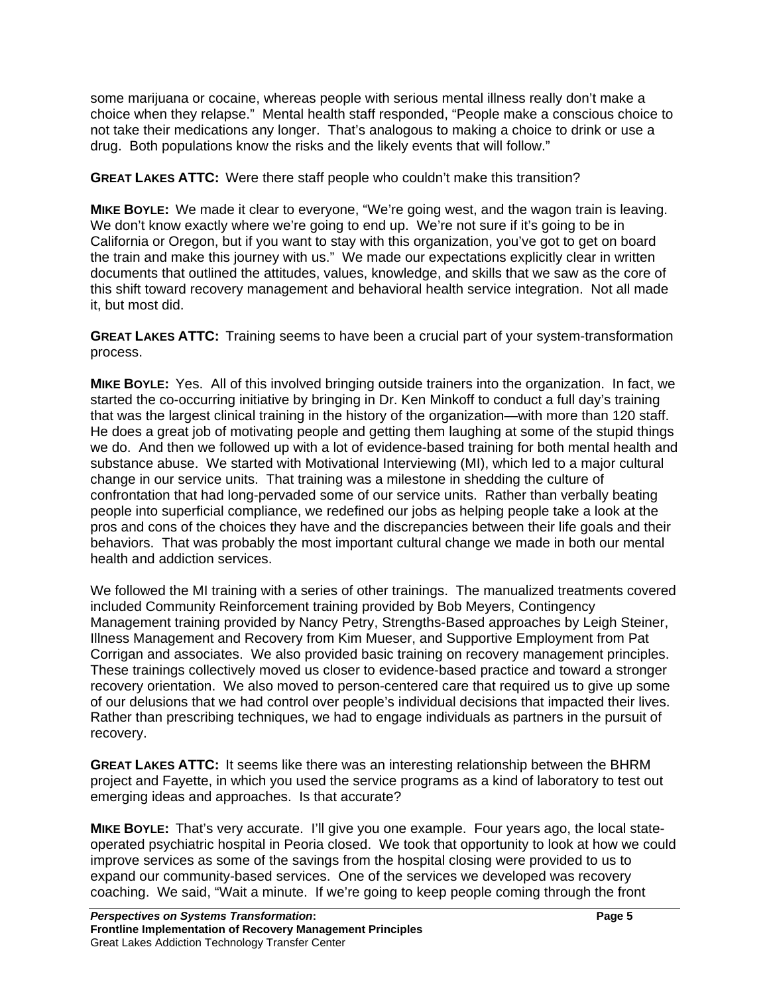some marijuana or cocaine, whereas people with serious mental illness really don't make a choice when they relapse." Mental health staff responded, "People make a conscious choice to not take their medications any longer. That's analogous to making a choice to drink or use a drug. Both populations know the risks and the likely events that will follow."

**GREAT LAKES ATTC:** Were there staff people who couldn't make this transition?

**MIKE BOYLE:** We made it clear to everyone, "We're going west, and the wagon train is leaving. We don't know exactly where we're going to end up. We're not sure if it's going to be in California or Oregon, but if you want to stay with this organization, you've got to get on board the train and make this journey with us." We made our expectations explicitly clear in written documents that outlined the attitudes, values, knowledge, and skills that we saw as the core of this shift toward recovery management and behavioral health service integration. Not all made it, but most did.

**GREAT LAKES ATTC:** Training seems to have been a crucial part of your system-transformation process.

**MIKE BOYLE:** Yes. All of this involved bringing outside trainers into the organization. In fact, we started the co-occurring initiative by bringing in Dr. Ken Minkoff to conduct a full day's training that was the largest clinical training in the history of the organization—with more than 120 staff. He does a great job of motivating people and getting them laughing at some of the stupid things we do. And then we followed up with a lot of evidence-based training for both mental health and substance abuse. We started with Motivational Interviewing (MI), which led to a major cultural change in our service units. That training was a milestone in shedding the culture of confrontation that had long-pervaded some of our service units. Rather than verbally beating people into superficial compliance, we redefined our jobs as helping people take a look at the pros and cons of the choices they have and the discrepancies between their life goals and their behaviors. That was probably the most important cultural change we made in both our mental health and addiction services.

We followed the MI training with a series of other trainings. The manualized treatments covered included Community Reinforcement training provided by Bob Meyers, Contingency Management training provided by Nancy Petry, Strengths-Based approaches by Leigh Steiner, Illness Management and Recovery from Kim Mueser, and Supportive Employment from Pat Corrigan and associates. We also provided basic training on recovery management principles. These trainings collectively moved us closer to evidence-based practice and toward a stronger recovery orientation. We also moved to person-centered care that required us to give up some of our delusions that we had control over people's individual decisions that impacted their lives. Rather than prescribing techniques, we had to engage individuals as partners in the pursuit of recovery.

**GREAT LAKES ATTC:** It seems like there was an interesting relationship between the BHRM project and Fayette, in which you used the service programs as a kind of laboratory to test out emerging ideas and approaches. Is that accurate?

**MIKE BOYLE:** That's very accurate. I'll give you one example. Four years ago, the local stateoperated psychiatric hospital in Peoria closed. We took that opportunity to look at how we could improve services as some of the savings from the hospital closing were provided to us to expand our community-based services. One of the services we developed was recovery coaching. We said, "Wait a minute. If we're going to keep people coming through the front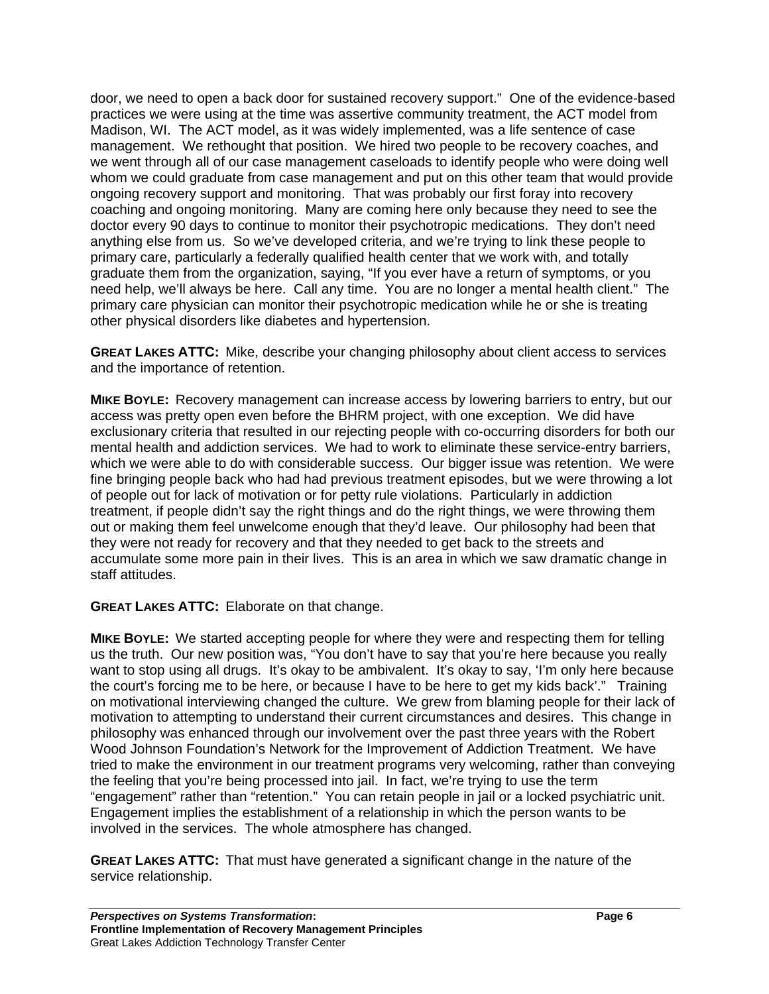door, we need to open a back door for sustained recovery support." One of the evidence-based practices we were using at the time was assertive community treatment, the ACT model from Madison, WI. The ACT model, as it was widely implemented, was a life sentence of case management. We rethought that position. We hired two people to be recovery coaches, and we went through all of our case management caseloads to identify people who were doing well whom we could graduate from case management and put on this other team that would provide ongoing recovery support and monitoring. That was probably our first foray into recovery coaching and ongoing monitoring. Many are coming here only because they need to see the doctor every 90 days to continue to monitor their psychotropic medications. They don't need anything else from us. So we've developed criteria, and we're trying to link these people to primary care, particularly a federally qualified health center that we work with, and totally graduate them from the organization, saying, "If you ever have a return of symptoms, or you need help, we'll always be here. Call any time. You are no longer a mental health client." The primary care physician can monitor their psychotropic medication while he or she is treating other physical disorders like diabetes and hypertension.

**GREAT LAKES ATTC:** Mike, describe your changing philosophy about client access to services and the importance of retention.

**MIKE BOYLE:** Recovery management can increase access by lowering barriers to entry, but our access was pretty open even before the BHRM project, with one exception. We did have exclusionary criteria that resulted in our rejecting people with co-occurring disorders for both our mental health and addiction services. We had to work to eliminate these service-entry barriers, which we were able to do with considerable success. Our bigger issue was retention. We were fine bringing people back who had had previous treatment episodes, but we were throwing a lot of people out for lack of motivation or for petty rule violations. Particularly in addiction treatment, if people didn't say the right things and do the right things, we were throwing them out or making them feel unwelcome enough that they'd leave. Our philosophy had been that they were not ready for recovery and that they needed to get back to the streets and accumulate some more pain in their lives. This is an area in which we saw dramatic change in staff attitudes.

**GREAT LAKES ATTC:** Elaborate on that change.

**MIKE BOYLE:** We started accepting people for where they were and respecting them for telling us the truth. Our new position was, "You don't have to say that you're here because you really want to stop using all drugs. It's okay to be ambivalent. It's okay to say, 'I'm only here because the court's forcing me to be here, or because I have to be here to get my kids back'." Training on motivational interviewing changed the culture. We grew from blaming people for their lack of motivation to attempting to understand their current circumstances and desires. This change in philosophy was enhanced through our involvement over the past three years with the Robert Wood Johnson Foundation's Network for the Improvement of Addiction Treatment. We have tried to make the environment in our treatment programs very welcoming, rather than conveying the feeling that you're being processed into jail. In fact, we're trying to use the term "engagement" rather than "retention." You can retain people in jail or a locked psychiatric unit. Engagement implies the establishment of a relationship in which the person wants to be involved in the services. The whole atmosphere has changed.

**GREAT LAKES ATTC:** That must have generated a significant change in the nature of the service relationship.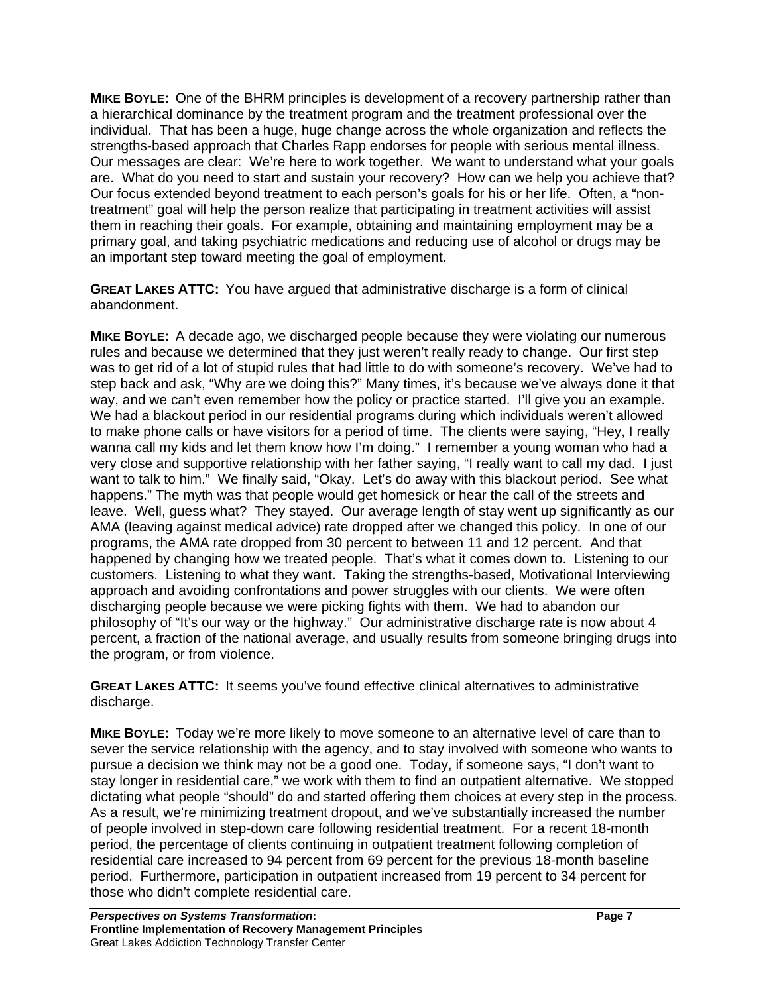**MIKE BOYLE:** One of the BHRM principles is development of a recovery partnership rather than a hierarchical dominance by the treatment program and the treatment professional over the individual. That has been a huge, huge change across the whole organization and reflects the strengths-based approach that Charles Rapp endorses for people with serious mental illness. Our messages are clear: We're here to work together. We want to understand what your goals are. What do you need to start and sustain your recovery? How can we help you achieve that? Our focus extended beyond treatment to each person's goals for his or her life. Often, a "nontreatment" goal will help the person realize that participating in treatment activities will assist them in reaching their goals. For example, obtaining and maintaining employment may be a primary goal, and taking psychiatric medications and reducing use of alcohol or drugs may be an important step toward meeting the goal of employment.

**GREAT LAKES ATTC:** You have argued that administrative discharge is a form of clinical abandonment.

**MIKE BOYLE:** A decade ago, we discharged people because they were violating our numerous rules and because we determined that they just weren't really ready to change. Our first step was to get rid of a lot of stupid rules that had little to do with someone's recovery. We've had to step back and ask, "Why are we doing this?" Many times, it's because we've always done it that way, and we can't even remember how the policy or practice started. I'll give you an example. We had a blackout period in our residential programs during which individuals weren't allowed to make phone calls or have visitors for a period of time. The clients were saying, "Hey, I really wanna call my kids and let them know how I'm doing." I remember a young woman who had a very close and supportive relationship with her father saying, "I really want to call my dad. I just want to talk to him." We finally said, "Okay. Let's do away with this blackout period. See what happens." The myth was that people would get homesick or hear the call of the streets and leave. Well, guess what? They stayed. Our average length of stay went up significantly as our AMA (leaving against medical advice) rate dropped after we changed this policy. In one of our programs, the AMA rate dropped from 30 percent to between 11 and 12 percent. And that happened by changing how we treated people. That's what it comes down to. Listening to our customers. Listening to what they want. Taking the strengths-based, Motivational Interviewing approach and avoiding confrontations and power struggles with our clients. We were often discharging people because we were picking fights with them. We had to abandon our philosophy of "It's our way or the highway." Our administrative discharge rate is now about 4 percent, a fraction of the national average, and usually results from someone bringing drugs into the program, or from violence.

**GREAT LAKES ATTC:** It seems you've found effective clinical alternatives to administrative discharge.

**MIKE BOYLE:** Today we're more likely to move someone to an alternative level of care than to sever the service relationship with the agency, and to stay involved with someone who wants to pursue a decision we think may not be a good one. Today, if someone says, "I don't want to stay longer in residential care," we work with them to find an outpatient alternative. We stopped dictating what people "should" do and started offering them choices at every step in the process. As a result, we're minimizing treatment dropout, and we've substantially increased the number of people involved in step-down care following residential treatment. For a recent 18-month period, the percentage of clients continuing in outpatient treatment following completion of residential care increased to 94 percent from 69 percent for the previous 18-month baseline period. Furthermore, participation in outpatient increased from 19 percent to 34 percent for those who didn't complete residential care.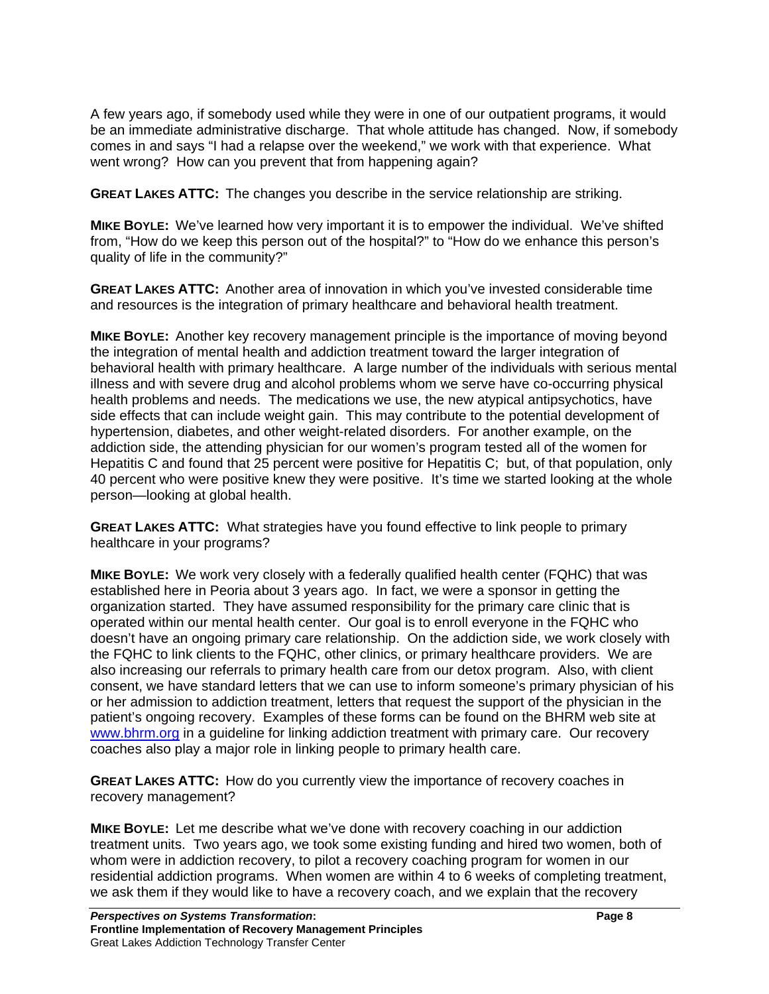A few years ago, if somebody used while they were in one of our outpatient programs, it would be an immediate administrative discharge. That whole attitude has changed. Now, if somebody comes in and says "I had a relapse over the weekend," we work with that experience. What went wrong? How can you prevent that from happening again?

**GREAT LAKES ATTC:** The changes you describe in the service relationship are striking.

**MIKE BOYLE:** We've learned how very important it is to empower the individual. We've shifted from, "How do we keep this person out of the hospital?" to "How do we enhance this person's quality of life in the community?"

**GREAT LAKES ATTC:** Another area of innovation in which you've invested considerable time and resources is the integration of primary healthcare and behavioral health treatment.

**MIKE BOYLE:** Another key recovery management principle is the importance of moving beyond the integration of mental health and addiction treatment toward the larger integration of behavioral health with primary healthcare. A large number of the individuals with serious mental illness and with severe drug and alcohol problems whom we serve have co-occurring physical health problems and needs. The medications we use, the new atypical antipsychotics, have side effects that can include weight gain. This may contribute to the potential development of hypertension, diabetes, and other weight-related disorders. For another example, on the addiction side, the attending physician for our women's program tested all of the women for Hepatitis C and found that 25 percent were positive for Hepatitis C; but, of that population, only 40 percent who were positive knew they were positive. It's time we started looking at the whole person—looking at global health.

**GREAT LAKES ATTC:** What strategies have you found effective to link people to primary healthcare in your programs?

**MIKE BOYLE:** We work very closely with a federally qualified health center (FQHC) that was established here in Peoria about 3 years ago. In fact, we were a sponsor in getting the organization started. They have assumed responsibility for the primary care clinic that is operated within our mental health center. Our goal is to enroll everyone in the FQHC who doesn't have an ongoing primary care relationship. On the addiction side, we work closely with the FQHC to link clients to the FQHC, other clinics, or primary healthcare providers. We are also increasing our referrals to primary health care from our detox program. Also, with client consent, we have standard letters that we can use to inform someone's primary physician of his or her admission to addiction treatment, letters that request the support of the physician in the patient's ongoing recovery. Examples of these forms can be found on the BHRM web site at www.bhrm.org in a guideline for linking addiction treatment with primary care. Our recovery coaches also play a major role in linking people to primary health care.

**GREAT LAKES ATTC:** How do you currently view the importance of recovery coaches in recovery management?

**MIKE BOYLE:** Let me describe what we've done with recovery coaching in our addiction treatment units. Two years ago, we took some existing funding and hired two women, both of whom were in addiction recovery, to pilot a recovery coaching program for women in our residential addiction programs. When women are within 4 to 6 weeks of completing treatment, we ask them if they would like to have a recovery coach, and we explain that the recovery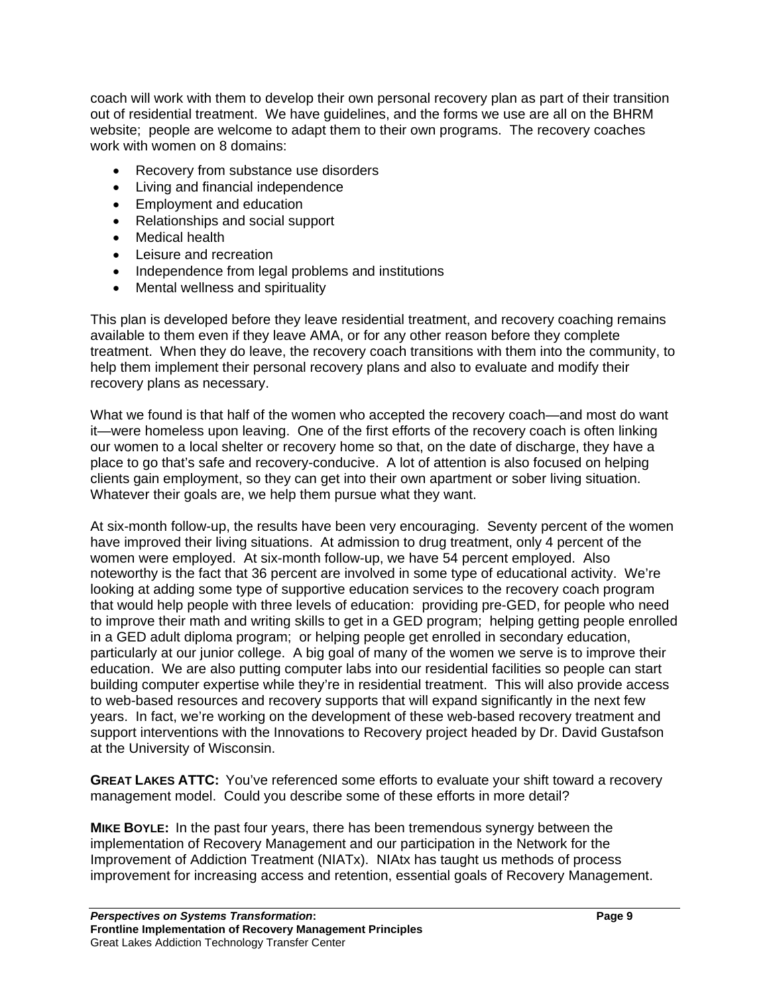coach will work with them to develop their own personal recovery plan as part of their transition out of residential treatment. We have guidelines, and the forms we use are all on the BHRM website; people are welcome to adapt them to their own programs. The recovery coaches work with women on 8 domains:

- Recovery from substance use disorders
- Living and financial independence
- Employment and education
- Relationships and social support
- Medical health
- Leisure and recreation
- Independence from legal problems and institutions
- Mental wellness and spirituality

This plan is developed before they leave residential treatment, and recovery coaching remains available to them even if they leave AMA, or for any other reason before they complete treatment. When they do leave, the recovery coach transitions with them into the community, to help them implement their personal recovery plans and also to evaluate and modify their recovery plans as necessary.

What we found is that half of the women who accepted the recovery coach—and most do want it—were homeless upon leaving. One of the first efforts of the recovery coach is often linking our women to a local shelter or recovery home so that, on the date of discharge, they have a place to go that's safe and recovery-conducive. A lot of attention is also focused on helping clients gain employment, so they can get into their own apartment or sober living situation. Whatever their goals are, we help them pursue what they want.

At six-month follow-up, the results have been very encouraging. Seventy percent of the women have improved their living situations. At admission to drug treatment, only 4 percent of the women were employed. At six-month follow-up, we have 54 percent employed. Also noteworthy is the fact that 36 percent are involved in some type of educational activity. We're looking at adding some type of supportive education services to the recovery coach program that would help people with three levels of education: providing pre-GED, for people who need to improve their math and writing skills to get in a GED program; helping getting people enrolled in a GED adult diploma program; or helping people get enrolled in secondary education, particularly at our junior college. A big goal of many of the women we serve is to improve their education. We are also putting computer labs into our residential facilities so people can start building computer expertise while they're in residential treatment. This will also provide access to web-based resources and recovery supports that will expand significantly in the next few years. In fact, we're working on the development of these web-based recovery treatment and support interventions with the Innovations to Recovery project headed by Dr. David Gustafson at the University of Wisconsin.

**GREAT LAKES ATTC:** You've referenced some efforts to evaluate your shift toward a recovery management model. Could you describe some of these efforts in more detail?

**MIKE BOYLE:** In the past four years, there has been tremendous synergy between the implementation of Recovery Management and our participation in the Network for the Improvement of Addiction Treatment (NIATx). NIAtx has taught us methods of process improvement for increasing access and retention, essential goals of Recovery Management.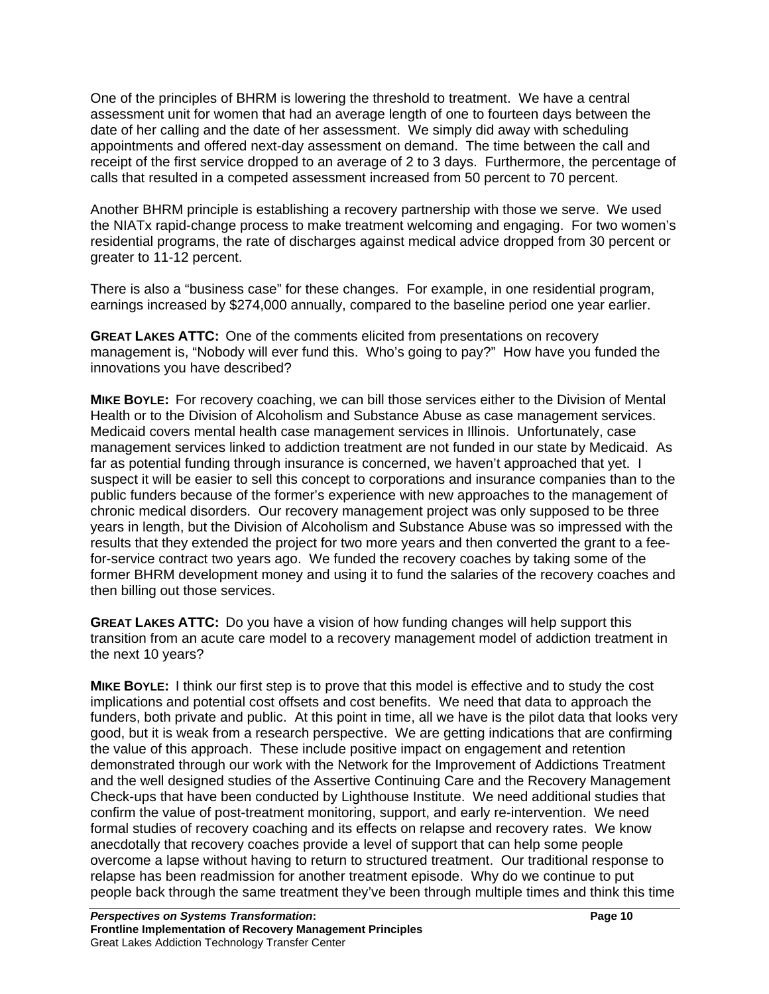One of the principles of BHRM is lowering the threshold to treatment. We have a central assessment unit for women that had an average length of one to fourteen days between the date of her calling and the date of her assessment. We simply did away with scheduling appointments and offered next-day assessment on demand. The time between the call and receipt of the first service dropped to an average of 2 to 3 days. Furthermore, the percentage of calls that resulted in a competed assessment increased from 50 percent to 70 percent.

Another BHRM principle is establishing a recovery partnership with those we serve. We used the NIATx rapid-change process to make treatment welcoming and engaging. For two women's residential programs, the rate of discharges against medical advice dropped from 30 percent or greater to 11-12 percent.

There is also a "business case" for these changes. For example, in one residential program, earnings increased by \$274,000 annually, compared to the baseline period one year earlier.

**GREAT LAKES ATTC:** One of the comments elicited from presentations on recovery management is, "Nobody will ever fund this. Who's going to pay?" How have you funded the innovations you have described?

**MIKE BOYLE:** For recovery coaching, we can bill those services either to the Division of Mental Health or to the Division of Alcoholism and Substance Abuse as case management services. Medicaid covers mental health case management services in Illinois. Unfortunately, case management services linked to addiction treatment are not funded in our state by Medicaid. As far as potential funding through insurance is concerned, we haven't approached that yet. I suspect it will be easier to sell this concept to corporations and insurance companies than to the public funders because of the former's experience with new approaches to the management of chronic medical disorders. Our recovery management project was only supposed to be three years in length, but the Division of Alcoholism and Substance Abuse was so impressed with the results that they extended the project for two more years and then converted the grant to a feefor-service contract two years ago. We funded the recovery coaches by taking some of the former BHRM development money and using it to fund the salaries of the recovery coaches and then billing out those services.

**GREAT LAKES ATTC:** Do you have a vision of how funding changes will help support this transition from an acute care model to a recovery management model of addiction treatment in the next 10 years?

**MIKE BOYLE:** I think our first step is to prove that this model is effective and to study the cost implications and potential cost offsets and cost benefits. We need that data to approach the funders, both private and public. At this point in time, all we have is the pilot data that looks very good, but it is weak from a research perspective. We are getting indications that are confirming the value of this approach. These include positive impact on engagement and retention demonstrated through our work with the Network for the Improvement of Addictions Treatment and the well designed studies of the Assertive Continuing Care and the Recovery Management Check-ups that have been conducted by Lighthouse Institute. We need additional studies that confirm the value of post-treatment monitoring, support, and early re-intervention. We need formal studies of recovery coaching and its effects on relapse and recovery rates. We know anecdotally that recovery coaches provide a level of support that can help some people overcome a lapse without having to return to structured treatment. Our traditional response to relapse has been readmission for another treatment episode. Why do we continue to put people back through the same treatment they've been through multiple times and think this time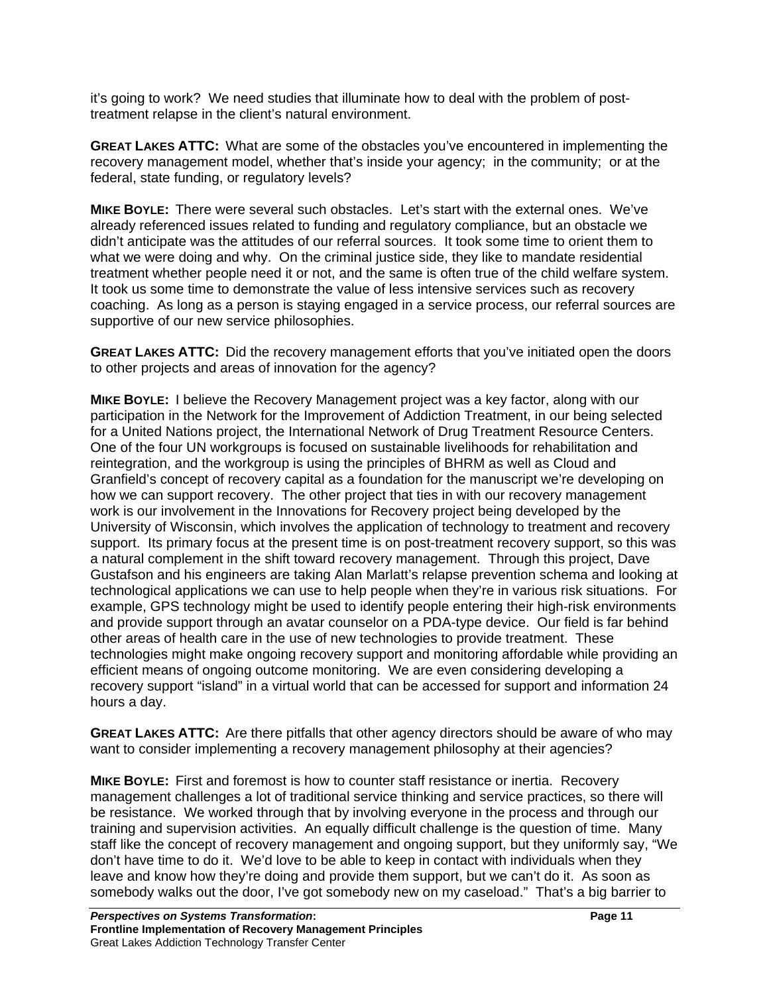it's going to work? We need studies that illuminate how to deal with the problem of posttreatment relapse in the client's natural environment.

**GREAT LAKES ATTC:** What are some of the obstacles you've encountered in implementing the recovery management model, whether that's inside your agency; in the community; or at the federal, state funding, or regulatory levels?

**MIKE BOYLE:** There were several such obstacles. Let's start with the external ones. We've already referenced issues related to funding and regulatory compliance, but an obstacle we didn't anticipate was the attitudes of our referral sources. It took some time to orient them to what we were doing and why. On the criminal justice side, they like to mandate residential treatment whether people need it or not, and the same is often true of the child welfare system. It took us some time to demonstrate the value of less intensive services such as recovery coaching. As long as a person is staying engaged in a service process, our referral sources are supportive of our new service philosophies.

**GREAT LAKES ATTC:** Did the recovery management efforts that you've initiated open the doors to other projects and areas of innovation for the agency?

**MIKE BOYLE:** I believe the Recovery Management project was a key factor, along with our participation in the Network for the Improvement of Addiction Treatment, in our being selected for a United Nations project, the International Network of Drug Treatment Resource Centers. One of the four UN workgroups is focused on sustainable livelihoods for rehabilitation and reintegration, and the workgroup is using the principles of BHRM as well as Cloud and Granfield's concept of recovery capital as a foundation for the manuscript we're developing on how we can support recovery. The other project that ties in with our recovery management work is our involvement in the Innovations for Recovery project being developed by the University of Wisconsin, which involves the application of technology to treatment and recovery support. Its primary focus at the present time is on post-treatment recovery support, so this was a natural complement in the shift toward recovery management. Through this project, Dave Gustafson and his engineers are taking Alan Marlatt's relapse prevention schema and looking at technological applications we can use to help people when they're in various risk situations. For example, GPS technology might be used to identify people entering their high-risk environments and provide support through an avatar counselor on a PDA-type device. Our field is far behind other areas of health care in the use of new technologies to provide treatment. These technologies might make ongoing recovery support and monitoring affordable while providing an efficient means of ongoing outcome monitoring. We are even considering developing a recovery support "island" in a virtual world that can be accessed for support and information 24 hours a day.

**GREAT LAKES ATTC:** Are there pitfalls that other agency directors should be aware of who may want to consider implementing a recovery management philosophy at their agencies?

**MIKE BOYLE:** First and foremost is how to counter staff resistance or inertia. Recovery management challenges a lot of traditional service thinking and service practices, so there will be resistance. We worked through that by involving everyone in the process and through our training and supervision activities. An equally difficult challenge is the question of time. Many staff like the concept of recovery management and ongoing support, but they uniformly say, "We don't have time to do it. We'd love to be able to keep in contact with individuals when they leave and know how they're doing and provide them support, but we can't do it. As soon as somebody walks out the door, I've got somebody new on my caseload." That's a big barrier to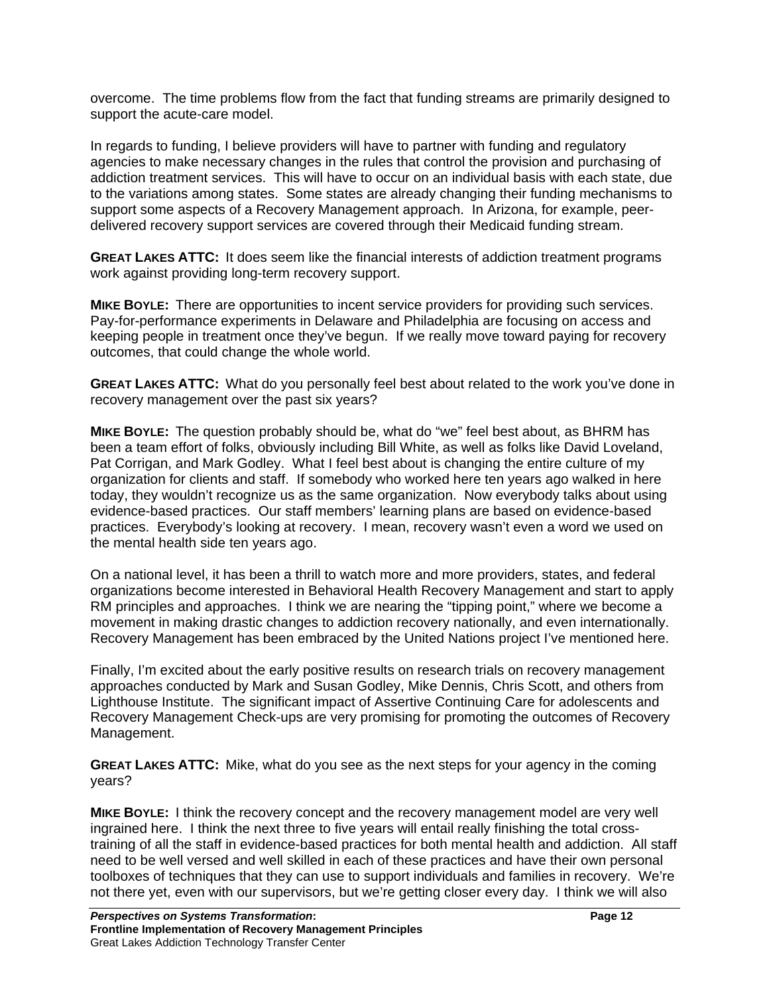overcome. The time problems flow from the fact that funding streams are primarily designed to support the acute-care model.

In regards to funding, I believe providers will have to partner with funding and regulatory agencies to make necessary changes in the rules that control the provision and purchasing of addiction treatment services. This will have to occur on an individual basis with each state, due to the variations among states. Some states are already changing their funding mechanisms to support some aspects of a Recovery Management approach. In Arizona, for example, peerdelivered recovery support services are covered through their Medicaid funding stream.

**GREAT LAKES ATTC:** It does seem like the financial interests of addiction treatment programs work against providing long-term recovery support.

**MIKE BOYLE:** There are opportunities to incent service providers for providing such services. Pay-for-performance experiments in Delaware and Philadelphia are focusing on access and keeping people in treatment once they've begun. If we really move toward paying for recovery outcomes, that could change the whole world.

**GREAT LAKES ATTC:** What do you personally feel best about related to the work you've done in recovery management over the past six years?

**MIKE BOYLE:** The question probably should be, what do "we" feel best about, as BHRM has been a team effort of folks, obviously including Bill White, as well as folks like David Loveland, Pat Corrigan, and Mark Godley. What I feel best about is changing the entire culture of my organization for clients and staff. If somebody who worked here ten years ago walked in here today, they wouldn't recognize us as the same organization. Now everybody talks about using evidence-based practices. Our staff members' learning plans are based on evidence-based practices. Everybody's looking at recovery. I mean, recovery wasn't even a word we used on the mental health side ten years ago.

On a national level, it has been a thrill to watch more and more providers, states, and federal organizations become interested in Behavioral Health Recovery Management and start to apply RM principles and approaches. I think we are nearing the "tipping point," where we become a movement in making drastic changes to addiction recovery nationally, and even internationally. Recovery Management has been embraced by the United Nations project I've mentioned here.

Finally, I'm excited about the early positive results on research trials on recovery management approaches conducted by Mark and Susan Godley, Mike Dennis, Chris Scott, and others from Lighthouse Institute. The significant impact of Assertive Continuing Care for adolescents and Recovery Management Check-ups are very promising for promoting the outcomes of Recovery Management.

**GREAT LAKES ATTC:** Mike, what do you see as the next steps for your agency in the coming years?

**MIKE BOYLE:** I think the recovery concept and the recovery management model are very well ingrained here. I think the next three to five years will entail really finishing the total crosstraining of all the staff in evidence-based practices for both mental health and addiction. All staff need to be well versed and well skilled in each of these practices and have their own personal toolboxes of techniques that they can use to support individuals and families in recovery. We're not there yet, even with our supervisors, but we're getting closer every day. I think we will also